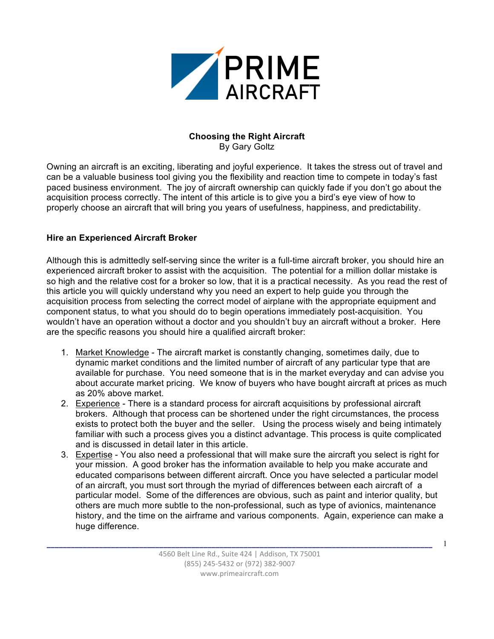

#### **Choosing the Right Aircraft** By Gary Goltz

Owning an aircraft is an exciting, liberating and joyful experience. It takes the stress out of travel and can be a valuable business tool giving you the flexibility and reaction time to compete in today's fast paced business environment. The joy of aircraft ownership can quickly fade if you don't go about the acquisition process correctly. The intent of this article is to give you a bird's eye view of how to properly choose an aircraft that will bring you years of usefulness, happiness, and predictability.

# **Hire an Experienced Aircraft Broker**

Although this is admittedly self-serving since the writer is a full-time aircraft broker, you should hire an experienced aircraft broker to assist with the acquisition. The potential for a million dollar mistake is so high and the relative cost for a broker so low, that it is a practical necessity. As you read the rest of this article you will quickly understand why you need an expert to help guide you through the acquisition process from selecting the correct model of airplane with the appropriate equipment and component status, to what you should do to begin operations immediately post-acquisition. You wouldn't have an operation without a doctor and you shouldn't buy an aircraft without a broker. Here are the specific reasons you should hire a qualified aircraft broker:

- 1. Market Knowledge The aircraft market is constantly changing, sometimes daily, due to dynamic market conditions and the limited number of aircraft of any particular type that are available for purchase. You need someone that is in the market everyday and can advise you about accurate market pricing. We know of buyers who have bought aircraft at prices as much as 20% above market.
- 2. Experience There is a standard process for aircraft acquisitions by professional aircraft brokers. Although that process can be shortened under the right circumstances, the process exists to protect both the buyer and the seller. Using the process wisely and being intimately familiar with such a process gives you a distinct advantage. This process is quite complicated and is discussed in detail later in this article.
- 3. Expertise You also need a professional that will make sure the aircraft you select is right for your mission. A good broker has the information available to help you make accurate and educated comparisons between different aircraft. Once you have selected a particular model of an aircraft, you must sort through the myriad of differences between each aircraft of a particular model. Some of the differences are obvious, such as paint and interior quality, but others are much more subtle to the non-professional, such as type of avionics, maintenance history, and the time on the airframe and various components. Again, experience can make a huge difference.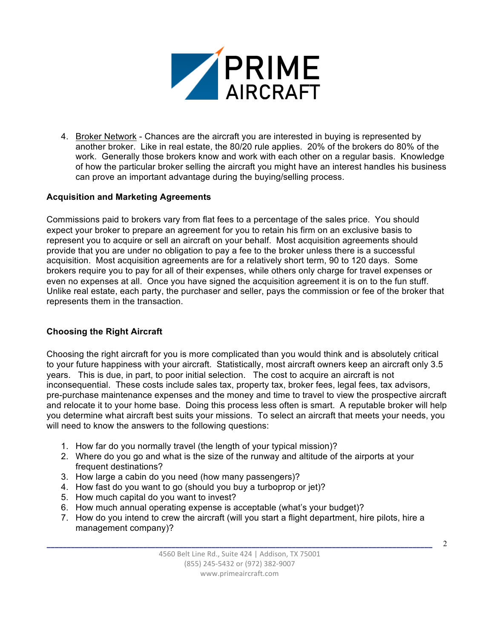

4. Broker Network - Chances are the aircraft you are interested in buying is represented by another broker. Like in real estate, the 80/20 rule applies. 20% of the brokers do 80% of the work. Generally those brokers know and work with each other on a regular basis. Knowledge of how the particular broker selling the aircraft you might have an interest handles his business can prove an important advantage during the buying/selling process.

## **Acquisition and Marketing Agreements**

Commissions paid to brokers vary from flat fees to a percentage of the sales price. You should expect your broker to prepare an agreement for you to retain his firm on an exclusive basis to represent you to acquire or sell an aircraft on your behalf. Most acquisition agreements should provide that you are under no obligation to pay a fee to the broker unless there is a successful acquisition. Most acquisition agreements are for a relatively short term, 90 to 120 days. Some brokers require you to pay for all of their expenses, while others only charge for travel expenses or even no expenses at all. Once you have signed the acquisition agreement it is on to the fun stuff. Unlike real estate, each party, the purchaser and seller, pays the commission or fee of the broker that represents them in the transaction.

### **Choosing the Right Aircraft**

Choosing the right aircraft for you is more complicated than you would think and is absolutely critical to your future happiness with your aircraft. Statistically, most aircraft owners keep an aircraft only 3.5 years. This is due, in part, to poor initial selection. The cost to acquire an aircraft is not inconsequential. These costs include sales tax, property tax, broker fees, legal fees, tax advisors, pre-purchase maintenance expenses and the money and time to travel to view the prospective aircraft and relocate it to your home base. Doing this process less often is smart. A reputable broker will help you determine what aircraft best suits your missions. To select an aircraft that meets your needs, you will need to know the answers to the following questions:

- 1. How far do you normally travel (the length of your typical mission)?
- 2. Where do you go and what is the size of the runway and altitude of the airports at your frequent destinations?
- 3. How large a cabin do you need (how many passengers)?
- 4. How fast do you want to go (should you buy a turboprop or jet)?
- 5. How much capital do you want to invest?
- 6. How much annual operating expense is acceptable (what's your budget)?
- 7. How do you intend to crew the aircraft (will you start a flight department, hire pilots, hire a management company)?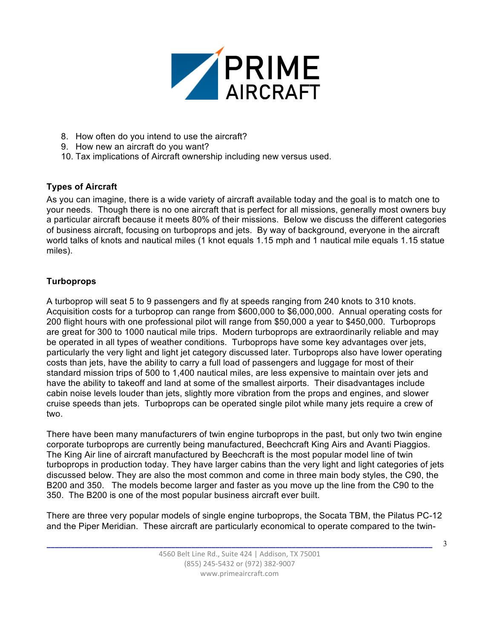

- 8. How often do you intend to use the aircraft?
- 9. How new an aircraft do you want?
- 10. Tax implications of Aircraft ownership including new versus used.

# **Types of Aircraft**

As you can imagine, there is a wide variety of aircraft available today and the goal is to match one to your needs. Though there is no one aircraft that is perfect for all missions, generally most owners buy a particular aircraft because it meets 80% of their missions. Below we discuss the different categories of business aircraft, focusing on turboprops and jets. By way of background, everyone in the aircraft world talks of knots and nautical miles (1 knot equals 1.15 mph and 1 nautical mile equals 1.15 statue miles).

# **Turboprops**

A turboprop will seat 5 to 9 passengers and fly at speeds ranging from 240 knots to 310 knots. Acquisition costs for a turboprop can range from \$600,000 to \$6,000,000. Annual operating costs for 200 flight hours with one professional pilot will range from \$50,000 a year to \$450,000. Turboprops are great for 300 to 1000 nautical mile trips. Modern turboprops are extraordinarily reliable and may be operated in all types of weather conditions. Turboprops have some key advantages over jets, particularly the very light and light jet category discussed later. Turboprops also have lower operating costs than jets, have the ability to carry a full load of passengers and luggage for most of their standard mission trips of 500 to 1,400 nautical miles, are less expensive to maintain over jets and have the ability to takeoff and land at some of the smallest airports. Their disadvantages include cabin noise levels louder than jets, slightly more vibration from the props and engines, and slower cruise speeds than jets. Turboprops can be operated single pilot while many jets require a crew of two.

There have been many manufacturers of twin engine turboprops in the past, but only two twin engine corporate turboprops are currently being manufactured, Beechcraft King Airs and Avanti Piaggios. The King Air line of aircraft manufactured by Beechcraft is the most popular model line of twin turboprops in production today. They have larger cabins than the very light and light categories of jets discussed below. They are also the most common and come in three main body styles, the C90, the B200 and 350. The models become larger and faster as you move up the line from the C90 to the 350. The B200 is one of the most popular business aircraft ever built.

There are three very popular models of single engine turboprops, the Socata TBM, the Pilatus PC-12 and the Piper Meridian. These aircraft are particularly economical to operate compared to the twin-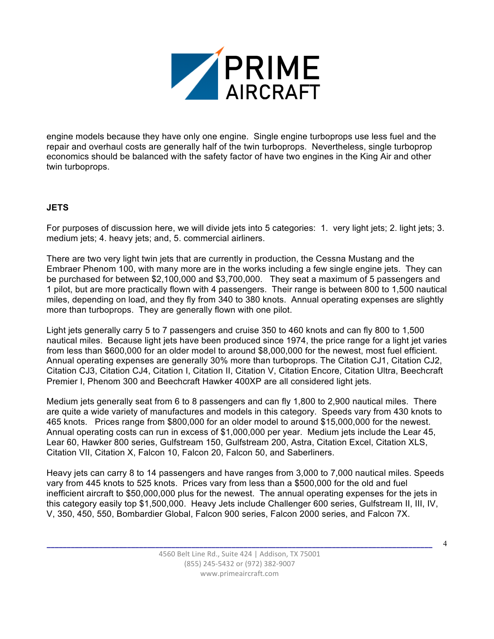

engine models because they have only one engine. Single engine turboprops use less fuel and the repair and overhaul costs are generally half of the twin turboprops. Nevertheless, single turboprop economics should be balanced with the safety factor of have two engines in the King Air and other twin turboprops.

## **JETS**

For purposes of discussion here, we will divide jets into 5 categories: 1. very light jets; 2. light jets; 3. medium jets; 4. heavy jets; and, 5. commercial airliners.

There are two very light twin jets that are currently in production, the Cessna Mustang and the Embraer Phenom 100, with many more are in the works including a few single engine jets. They can be purchased for between \$2,100,000 and \$3,700,000. They seat a maximum of 5 passengers and 1 pilot, but are more practically flown with 4 passengers. Their range is between 800 to 1,500 nautical miles, depending on load, and they fly from 340 to 380 knots. Annual operating expenses are slightly more than turboprops. They are generally flown with one pilot.

Light jets generally carry 5 to 7 passengers and cruise 350 to 460 knots and can fly 800 to 1,500 nautical miles. Because light jets have been produced since 1974, the price range for a light jet varies from less than \$600,000 for an older model to around \$8,000,000 for the newest, most fuel efficient. Annual operating expenses are generally 30% more than turboprops. The Citation CJ1, Citation CJ2, Citation CJ3, Citation CJ4, Citation I, Citation II, Citation V, Citation Encore, Citation Ultra, Beechcraft Premier I, Phenom 300 and Beechcraft Hawker 400XP are all considered light jets.

Medium jets generally seat from 6 to 8 passengers and can fly 1,800 to 2,900 nautical miles. There are quite a wide variety of manufactures and models in this category. Speeds vary from 430 knots to 465 knots. Prices range from \$800,000 for an older model to around \$15,000,000 for the newest. Annual operating costs can run in excess of \$1,000,000 per year. Medium jets include the Lear 45, Lear 60, Hawker 800 series, Gulfstream 150, Gulfstream 200, Astra, Citation Excel, Citation XLS, Citation VII, Citation X, Falcon 10, Falcon 20, Falcon 50, and Saberliners.

Heavy jets can carry 8 to 14 passengers and have ranges from 3,000 to 7,000 nautical miles. Speeds vary from 445 knots to 525 knots. Prices vary from less than a \$500,000 for the old and fuel inefficient aircraft to \$50,000,000 plus for the newest. The annual operating expenses for the jets in this category easily top \$1,500,000. Heavy Jets include Challenger 600 series, Gulfstream II, III, IV, V, 350, 450, 550, Bombardier Global, Falcon 900 series, Falcon 2000 series, and Falcon 7X.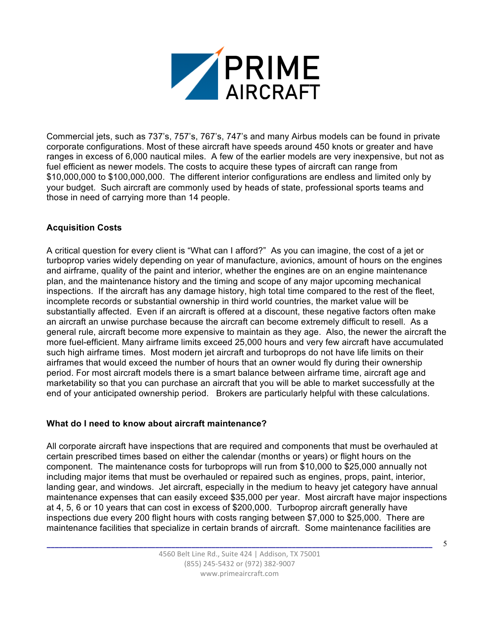

Commercial jets, such as 737's, 757's, 767's, 747's and many Airbus models can be found in private corporate configurations. Most of these aircraft have speeds around 450 knots or greater and have ranges in excess of 6,000 nautical miles. A few of the earlier models are very inexpensive, but not as fuel efficient as newer models. The costs to acquire these types of aircraft can range from \$10,000,000 to \$100,000,000. The different interior configurations are endless and limited only by your budget. Such aircraft are commonly used by heads of state, professional sports teams and those in need of carrying more than 14 people.

## **Acquisition Costs**

A critical question for every client is "What can I afford?" As you can imagine, the cost of a jet or turboprop varies widely depending on year of manufacture, avionics, amount of hours on the engines and airframe, quality of the paint and interior, whether the engines are on an engine maintenance plan, and the maintenance history and the timing and scope of any major upcoming mechanical inspections. If the aircraft has any damage history, high total time compared to the rest of the fleet, incomplete records or substantial ownership in third world countries, the market value will be substantially affected. Even if an aircraft is offered at a discount, these negative factors often make an aircraft an unwise purchase because the aircraft can become extremely difficult to resell. As a general rule, aircraft become more expensive to maintain as they age. Also, the newer the aircraft the more fuel-efficient. Many airframe limits exceed 25,000 hours and very few aircraft have accumulated such high airframe times. Most modern jet aircraft and turboprops do not have life limits on their airframes that would exceed the number of hours that an owner would fly during their ownership period. For most aircraft models there is a smart balance between airframe time, aircraft age and marketability so that you can purchase an aircraft that you will be able to market successfully at the end of your anticipated ownership period. Brokers are particularly helpful with these calculations.

### **What do I need to know about aircraft maintenance?**

All corporate aircraft have inspections that are required and components that must be overhauled at certain prescribed times based on either the calendar (months or years) or flight hours on the component. The maintenance costs for turboprops will run from \$10,000 to \$25,000 annually not including major items that must be overhauled or repaired such as engines, props, paint, interior, landing gear, and windows. Jet aircraft, especially in the medium to heavy jet category have annual maintenance expenses that can easily exceed \$35,000 per year. Most aircraft have major inspections at 4, 5, 6 or 10 years that can cost in excess of \$200,000. Turboprop aircraft generally have inspections due every 200 flight hours with costs ranging between \$7,000 to \$25,000. There are maintenance facilities that specialize in certain brands of aircraft. Some maintenance facilities are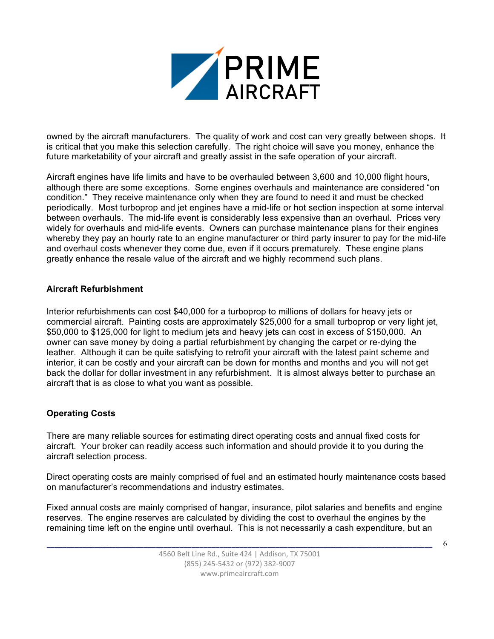

owned by the aircraft manufacturers. The quality of work and cost can very greatly between shops. It is critical that you make this selection carefully. The right choice will save you money, enhance the future marketability of your aircraft and greatly assist in the safe operation of your aircraft.

Aircraft engines have life limits and have to be overhauled between 3,600 and 10,000 flight hours, although there are some exceptions. Some engines overhauls and maintenance are considered "on condition." They receive maintenance only when they are found to need it and must be checked periodically. Most turboprop and jet engines have a mid-life or hot section inspection at some interval between overhauls. The mid-life event is considerably less expensive than an overhaul. Prices very widely for overhauls and mid-life events. Owners can purchase maintenance plans for their engines whereby they pay an hourly rate to an engine manufacturer or third party insurer to pay for the mid-life and overhaul costs whenever they come due, even if it occurs prematurely. These engine plans greatly enhance the resale value of the aircraft and we highly recommend such plans.

### **Aircraft Refurbishment**

Interior refurbishments can cost \$40,000 for a turboprop to millions of dollars for heavy jets or commercial aircraft. Painting costs are approximately \$25,000 for a small turboprop or very light jet, \$50,000 to \$125,000 for light to medium jets and heavy jets can cost in excess of \$150,000. An owner can save money by doing a partial refurbishment by changing the carpet or re-dying the leather. Although it can be quite satisfying to retrofit your aircraft with the latest paint scheme and interior, it can be costly and your aircraft can be down for months and months and you will not get back the dollar for dollar investment in any refurbishment. It is almost always better to purchase an aircraft that is as close to what you want as possible.

## **Operating Costs**

There are many reliable sources for estimating direct operating costs and annual fixed costs for aircraft. Your broker can readily access such information and should provide it to you during the aircraft selection process.

Direct operating costs are mainly comprised of fuel and an estimated hourly maintenance costs based on manufacturer's recommendations and industry estimates.

Fixed annual costs are mainly comprised of hangar, insurance, pilot salaries and benefits and engine reserves. The engine reserves are calculated by dividing the cost to overhaul the engines by the remaining time left on the engine until overhaul. This is not necessarily a cash expenditure, but an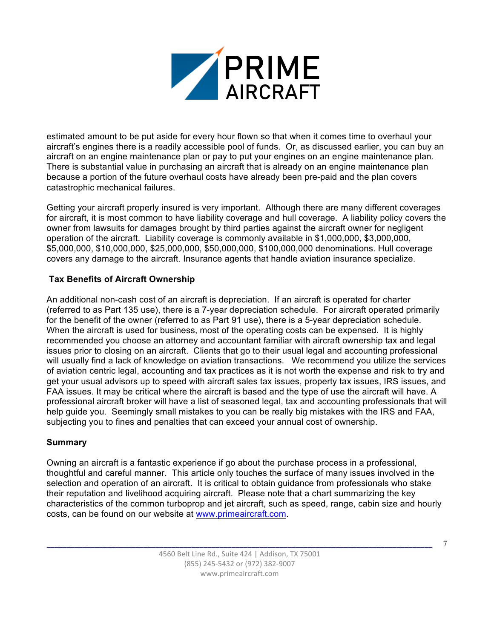![](_page_6_Picture_0.jpeg)

estimated amount to be put aside for every hour flown so that when it comes time to overhaul your aircraft's engines there is a readily accessible pool of funds. Or, as discussed earlier, you can buy an aircraft on an engine maintenance plan or pay to put your engines on an engine maintenance plan. There is substantial value in purchasing an aircraft that is already on an engine maintenance plan because a portion of the future overhaul costs have already been pre-paid and the plan covers catastrophic mechanical failures.

Getting your aircraft properly insured is very important. Although there are many different coverages for aircraft, it is most common to have liability coverage and hull coverage. A liability policy covers the owner from lawsuits for damages brought by third parties against the aircraft owner for negligent operation of the aircraft. Liability coverage is commonly available in \$1,000,000, \$3,000,000, \$5,000,000, \$10,000,000, \$25,000,000, \$50,000,000, \$100,000,000 denominations. Hull coverage covers any damage to the aircraft. Insurance agents that handle aviation insurance specialize.

## **Tax Benefits of Aircraft Ownership**

An additional non-cash cost of an aircraft is depreciation. If an aircraft is operated for charter (referred to as Part 135 use), there is a 7-year depreciation schedule. For aircraft operated primarily for the benefit of the owner (referred to as Part 91 use), there is a 5-year depreciation schedule. When the aircraft is used for business, most of the operating costs can be expensed. It is highly recommended you choose an attorney and accountant familiar with aircraft ownership tax and legal issues prior to closing on an aircraft. Clients that go to their usual legal and accounting professional will usually find a lack of knowledge on aviation transactions. We recommend you utilize the services of aviation centric legal, accounting and tax practices as it is not worth the expense and risk to try and get your usual advisors up to speed with aircraft sales tax issues, property tax issues, IRS issues, and FAA issues. It may be critical where the aircraft is based and the type of use the aircraft will have. A professional aircraft broker will have a list of seasoned legal, tax and accounting professionals that will help guide you. Seemingly small mistakes to you can be really big mistakes with the IRS and FAA, subjecting you to fines and penalties that can exceed your annual cost of ownership.

## **Summary**

Owning an aircraft is a fantastic experience if go about the purchase process in a professional, thoughtful and careful manner. This article only touches the surface of many issues involved in the selection and operation of an aircraft. It is critical to obtain guidance from professionals who stake their reputation and livelihood acquiring aircraft. Please note that a chart summarizing the key characteristics of the common turboprop and jet aircraft, such as speed, range, cabin size and hourly costs, can be found on our website at www.primeaircraft.com.